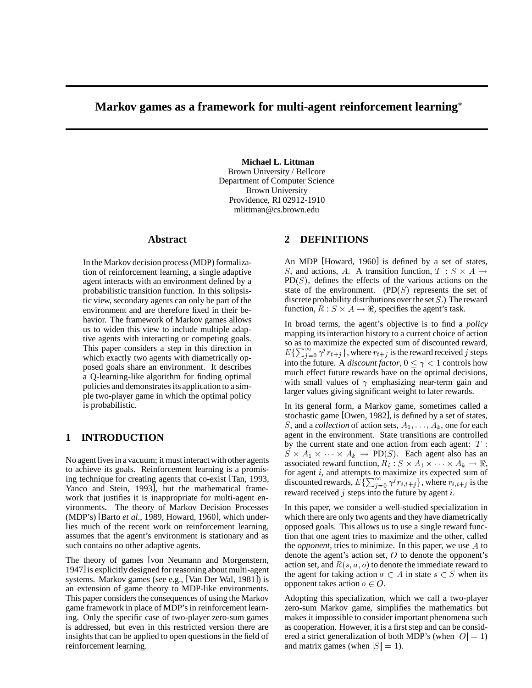# **Markov games as a framework for multi-agent reinforcement learning**

**Michael L. Littman** Brown University / Bellcore Department of Computer Science Brown University Providence, RI 02912-1910 mlittman@cs.brown.edu

### **Abstract**

In the Markov decision process(MDP) formalization of reinforcement learning, a single adaptive agent interacts with an environment defined by a probabilistic transition function. In this solipsistic view, secondary agents can only be part of the environment and are therefore fixed in their behavior. The framework of Markov games allows us to widen this view to include multiple adaptive agents with interacting or competing goals. This paper considers a step in this direction in which exactly two agents with diametrically opposed goals share an environment. It describes a Q-learning-like algorithm for finding optimal policies and demonstrates its application to a simple two-player game in which the optimal policy is probabilistic.

### **1 INTRODUCTION**

No agent lives in a vacuum; it must interact with other agents to achieve its goals. Reinforcement learning is a promising technique for creating agents that co-exist [Tan, 1993, Yanco and Stein, 1993], but the mathematical framework that justifies it is inappropriate for multi-agent environments. The theory of Markov Decision Processes (MDP's) [Barto *et al.*, 1989, Howard, 1960], which underlies much of the recent work on reinforcement learning, assumes that the agent's environment is stationary and as such contains no other adaptive agents.

The theory of games [von Neumann and Morgenstern, 1947]is explicitly designed for reasoning about multi-agent systems. Markov games (see e.g., [Van Der Wal, 1981]) is an extension of game theory to MDP-like environments. This paper considers the consequences of using the Markov game framework in place of MDP's in reinforcement learning. Only the specific case of two-player zero-sum games is addressed, but even in this restricted version there are insights that can be applied to open questions in the field of reinforcement learning.

# **2 DEFINITIONS**

An MDP [Howard, 1960] is defined by a set of states, S, and actions, A. A transition function,  $T : S \times A \rightarrow$  $PD(S)$ , defines the effects of the various actions on the state of the environment. (PD $(S)$  represents the set of discrete probability distributions over the set  $S$ .) The reward function,  $R : S \times A \rightarrow \Re$ , specifies the agent's task.

In broad terms, the agent's objective is to find a *policy* mapping its interaction history to a current choice of action so as to maximize the expected sum of discounted reward,  $E\left\{\sum_{j=0}^{\infty} \gamma^j r_{t+j}\right\}$ , where  $r_{t+j}$  is the reward received j steps into the future. A *discount factor*,  $0 \leq \gamma < 1$  controls how much effect future rewards have on the optimal decisions, with small values of  $\gamma$  emphasizing near-term gain and larger values giving significant weight to later rewards.

In its general form, a Markov game, sometimes called a stochastic game [Owen, 1982], is defined by a set of states, S, and a *collection* of action sets,  $A_1, \ldots, A_k$ , one for each agent in the environment. State transitions are controlled by the current state and one action from each agent:  $T$ :  $S \times A_1 \times \cdots \times A_k \rightarrow \text{PD}(S)$ . Each agent also has an associated reward function,  $R_i : S \times A_1 \times \cdots \times A_k \to \Re$ , for agent  $i$ , and attempts to maximize its expected sum of discounted rewards,  $E\left\{\sum_{j=0}^{\infty} \gamma^j r_{i,t+j}\right\}$ , where  $r_{i,t+j}$  is the reward received  $j$  steps into the future by agent  $i$ .

In this paper, we consider a well-studied specialization in which there are only two agents and they have diametrically opposed goals. This allows us to use a single reward function that one agent tries to maximize and the other, called the *opponent*, tries to minimize. In this paper, we use  $A$  to denote the agent's action set,  $O$  to denote the opponent's action set, and  $R(s, a, o)$  to denote the immediate reward to the agent for taking action  $a \in A$  in state  $s \in S$  when its opponent takes action  $o \in \mathcal{O}$ .

Adopting this specialization, which we call a two-player zero-sum Markov game, simplifies the mathematics but makes it impossible to consider important phenomena such as cooperation. However, it is a first step and can be considered a strict generalization of both MDP's (when  $|O| = 1$ ) and matrix games (when  $|S| = 1$ ).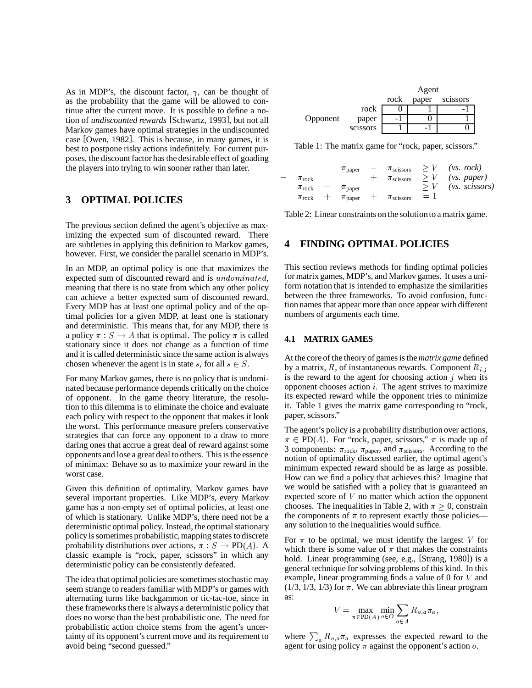As in MDP's, the discount factor,  $\gamma$ , can be thought of as the probability that the game will be allowed to continue after the current move. It is possible to define a notion of *undiscounted rewards* [Schwartz, 1993], but not all Markov games have optimal strategies in the undiscounted case [Owen, 1982]. This is because, in many games, it is best to postpone risky actions indefinitely. For current purposes, the discount factor has the desirable effect of goading the players into trying to win sooner rather than later.

# **3 OPTIMAL POLICIES**

The previous section defined the agent's objective as maximizing the expected sum of discounted reward. There are subtleties in applying this definition to Markov games, however. First, we consider the parallel scenario in MDP's.

In an MDP, an optimal policy is one that maximizes the expected sum of discounted reward and is  $undominated$ , form meaning that there is no state from which any other policy can achieve a better expected sum of discounted reward. Every MDP has at least one optimal policy and of the optimal policies for a given MDP, at least one is stationary and deterministic. This means that, for any MDP, there is a policy  $\pi : S \to A$  that is optimal. The policy  $\pi$  is called stationary since it does not change as a function of time and it is called deterministic since the same action is always chosen whenever the agent is in state s, for all  $s \in S$ .

For many Markov games, there is no policy that is undominated because performance depends critically on the choice of opponent. In the game theory literature, the resolution to this dilemma is to eliminate the choice and evaluate each policy with respect to the opponent that makes it look the worst. This performance measure prefers conservative strategies that can force any opponent to a draw to more daring ones that accrue a great deal of reward against some opponents and lose a great deal to others. This is the essence of minimax: Behave so as to maximize your reward in the worst case.

Given this definition of optimality, Markov games have several important properties. Like MDP's, every Markov game has a non-empty set of optimal policies, at least one of which is stationary. Unlike MDP's, there need not be a deterministic optimal policy. Instead, the optimal stationary policy is sometimes probabilistic, mapping states to discrete probability distributions over actions,  $\pi : S \to \text{PD}(A)$ . A which classic example is "rock, paper, scissors" in which any deterministic policy can be consistently defeated.

The idea that optimal policies are sometimes stochastic may seem strange to readers familiar with MDP's or games with alternating turns like backgammon or tic-tac-toe, since in these frameworks there is always a deterministic policy that does no worse than the best probabilistic one. The need for probabilistic action choice stems from the agent's uncertainty of its opponent's current move and its requirement to avoid being "second guessed."



Table 1: The matrix game for "rock, paper, scissors."

|                     | $\pi_{\text{paper}}$ | $\overline{\phantom{0}}$ | $\pi_{\text{scissors}}$ |       | (vs. rock)     |
|---------------------|----------------------|--------------------------|-------------------------|-------|----------------|
| $\pi_{\text{rock}}$ |                      |                          | $\pi_{scissors}$        |       | (vs. paper)    |
| $\pi_{\text{rock}}$ | $\pi_{\text{paper}}$ |                          |                         |       | (vs. scissors) |
| $\pi_{\text{rock}}$ | $\pi_{\text{paper}}$ |                          | $\pi_{\text{scissors}}$ | $=$ 1 |                |

Table 2: Linear constraints on the solutionto a matrix game.

## **4 FINDING OPTIMAL POLICIES**

 $_{ed}$ , for matrix games, MDP's, and Markov games. It uses a uni-This section reviews methods for finding optimal policies form notation that is intended to emphasize the similarities between the three frameworks. To avoid confusion, function names that appear more than once appear with different numbers of arguments each time.

### **4.1 MATRIX GAMES**

At the core of the theory of gamesisthe *matrix game* defined by a matrix, R, of instantaneous rewards. Component  $R_{i,j}$ is the reward to the agent for choosing action  $j$  when its opponent chooses action  $i$ . The agent strives to maximize its expected reward while the opponent tries to minimize it. Table 1 gives the matrix game corresponding to "rock, paper, scissors."

The agent's policy is a probability distribution over actions,  $\pi \in \text{PD}(A)$ . For "rock, paper, scissors,"  $\pi$  is made up of 3 components:  $\pi_{rock}$ ,  $\pi_{paper}$ , and  $\pi_{scissors}$ . According to the notion of optimality discussed earlier, the optimal agent's minimum expected reward should be as large as possible. How can we find a policy that achieves this? Imagine that we would be satisfied with a policy that is guaranteed an expected score of  $V$  no matter which action the opponent chooses. The inequalities in Table 2, with  $\pi \geq 0$ , constrain the components of  $\pi$  to represent exactly those policies any solution to the inequalities would suffice.

For  $\pi$  to be optimal, we must identify the largest V for which there is some value of  $\pi$  that makes the constraints hold. Linear programming (see, e.g., [Strang, 1980]) is a general technique for solving problems of this kind. In this example, linear programming finds a value of  $0$  for  $V$  and  $(1/3, 1/3, 1/3)$  for  $\pi$ . We can abbreviate this linear program as:

$$
V = \max_{\pi \in \text{PD}(A)} \min_{o \in O} \sum_{a \in A} R_{o,a} \pi_a,
$$

where  $\sum_{a} R_{o,a} \pi_a$  expresses the expected reward to the agent for using policy  $\pi$  against the opponent's action  $\varphi$ .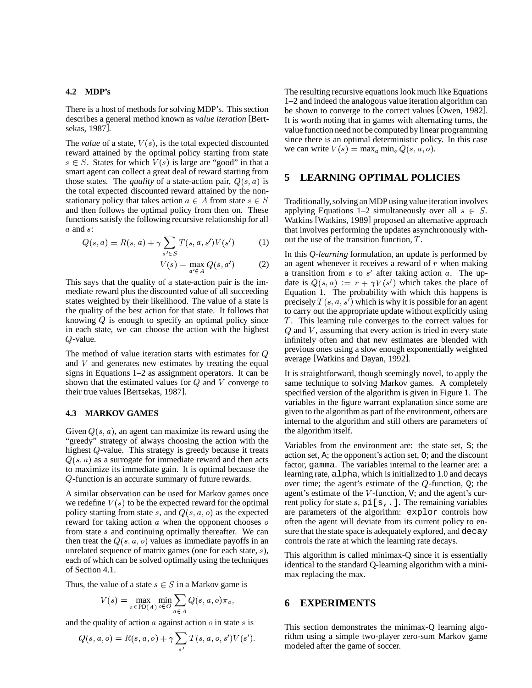#### **4.2 MDP's**

There is a host of methods for solving MDP's. This section describes a general method known as *value iteration* [Bertsekas, 1987].

The *value* of a state,  $V(s)$ , is the total expected discounted reward attained by the optimal policy starting from state  $s \in S$ . States for which  $V(s)$  is large are "good" in that a smart agent can collect a great deal of reward starting from those states. The *quality* of a state-action pair,  $Q(s, a)$  is  $\bullet$ the total expected discounted reward attained by the nonstationary policy that takes action  $a \in A$  from state  $s \in S$  - Tradition and then follows the optimal policy from then on. These functions satisfy the following recursive relationship for all  $a$  and  $s$ :

$$
Q(s, a) = R(s, a) + \gamma \sum_{s' \in S} T(s, a, s') V(s')
$$
 (1)

$$
V(s) = \max_{a' \in A} Q(s, a')
$$
 (2)

This says that the quality of a state-action pair is the immediate reward plus the discounted value of all succeeding states weighted by their likelihood. The value of a state is the quality of the best action for that state. It follows that knowing  $Q$  is enough to specify an optimal policy since in each state, we can choose the action with the highest  $Q$ -value.

The method of value iteration starts with estimates for  $Q$ and  $V$  and generates new estimates by treating the equal signs in Equations 1–2 as assignment operators. It can be shown that the estimated values for  $Q$  and  $V$  converge to their true values [Bertsekas, 1987].

#### **4.3 MARKOV GAMES**

Given  $Q(s, a)$ , an agent can maximize its reward using the & = "greedy" strategy of always choosing the action with the highest  $Q$ -value. This strategy is greedy because it treats  $Q(s, a)$  as a surrogate for immediate reward and then acts to maximize its immediate gain. It is optimal because the  $Q$ -function is an accurate summary of future rewards.

A similar observation can be used for Markov games once we redefine  $V(s)$  to be the expected reward for the optimal policy starting from state s, and  $Q(s, a, o)$  as the expected reward for taking action  $\alpha$  when the opponent chooses  $\alpha$ from state s and continuing optimally thereafter. We can then treat the  $Q(s, a, o)$  values as immediate payoffs in an unrelated sequence of matrix games (one for each state,  $s$ ), each of which can be solved optimally using the techniques of Section 4.1.

Thus, the value of a state  $s \in S$  in a Markov game is

$$
V(s) = \max_{\pi \in \text{PD}(A)} \min_{o \in O} \sum_{a \in A} Q(s, a, o) \pi_a,
$$

and the quality of action  $a$  against action  $o$  in state  $s$  is

$$
Q(s, a, o) = R(s, a, o) + \gamma \sum_{s'} T(s, a, o, s') V(s').
$$

The resulting recursive equations look much like Equations 1–2 and indeed the analogous value iteration algorithm can be shown to converge to the correct values [Owen, 1982]. It is worth noting that in games with alternating turns, the value function need not be computed by linear programming since there is an optimal deterministic policy. In this case we can write  $V(s) = \max_a \min_o Q(s, a, o)$ .

### **5 LEARNING OPTIMAL POLICIES**

Traditionally,solving anMDP using value iteration involves applying Equations 1–2 simultaneously over all  $s \in S$ . Watkins [Watkins, 1989] proposed an alternative approach that involves performing the updates asynchronously without the use of the transition function,  $T$ .

In this *Q-learning* formulation, an update is performed by an agent whenever it receives a reward of  $r$  when making a transition from  $s$  to  $s'$  after taking action  $a$ . The update is  $Q(s, a) := r + \gamma V(s')$  which takes the place of Equation 1. The probability with which this happens is precisely  $T(s, a, s')$  which is why it is possible for an agent to carry out the appropriate update without explicitly using . This learning rule converges to the correct values for  $Q$  and  $V$ , assuming that every action is tried in every state infinitely often and that new estimates are blended with previous ones using a slow enough exponentially weighted average [Watkins and Dayan, 1992].

It is straightforward, though seemingly novel, to apply the same technique to solving Markov games. A completely specified version of the algorithm is given in Figure 1. The variables in the figure warrant explanation since some are given to the algorithm as part of the environment, others are internal to the algorithm and still others are parameters of the algorithm itself.

Variables from the environment are: the state set, S; the action set, A; the opponent's action set, O; and the discount factor, gamma. The variables internal to the learner are: a learning rate, alpha, which is initialized to 1.0 and decays over time; the agent's estimate of the  $Q$ -function,  $Q$ ; the agent's estimate of the  $V$ -function,  $V$ ; and the agent's current policy for state  $s$ ,  $pi[s, .]$ . The remaining variables are parameters of the algorithm: explor controls how often the agent will deviate from its current policy to ensure that the state space is adequately explored, and decay controls the rate at which the learning rate decays.

This algorithm is called minimax-Q since it is essentially identical to the standard Q-learning algorithm with a minimax replacing the max.

### **6 EXPERIMENTS**

This section demonstrates the minimax-Q learning algorithm using a simple two-player zero-sum Markov game modeled after the game of soccer.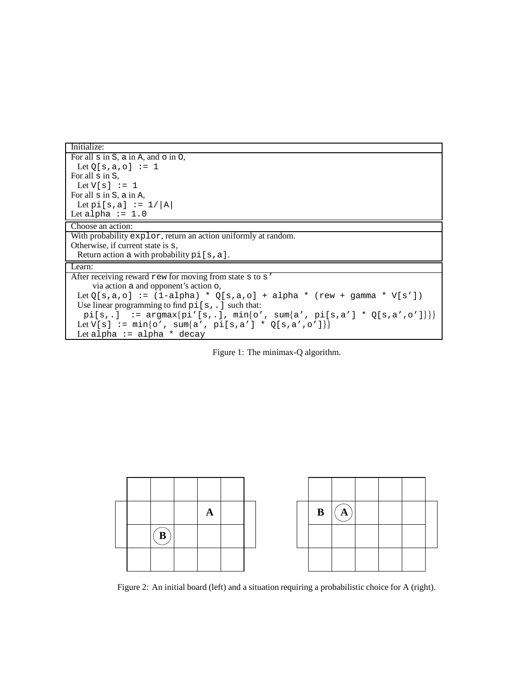| Initialize:                                                               |  |  |  |  |  |
|---------------------------------------------------------------------------|--|--|--|--|--|
| For all $\sin S$ , $\sin A$ , and $\sin O$ ,                              |  |  |  |  |  |
| Let $Q[s,a,o]$ := 1                                                       |  |  |  |  |  |
| For all s in S,                                                           |  |  |  |  |  |
| Let $V[s] := 1$                                                           |  |  |  |  |  |
| For all s in S, a in A,                                                   |  |  |  |  |  |
| Let pi[s, a] := $1/ A $                                                   |  |  |  |  |  |
| Let alpha $:= 1.0$                                                        |  |  |  |  |  |
| Choose an action:                                                         |  |  |  |  |  |
| With probability explor, return an action uniformly at random.            |  |  |  |  |  |
| Otherwise, if current state is s.                                         |  |  |  |  |  |
| Return action a with probability $pi[s,a]$ .                              |  |  |  |  |  |
| Learn:                                                                    |  |  |  |  |  |
| After receiving reward rew for moving from state s to s'                  |  |  |  |  |  |
| via action a and opponent's action o,                                     |  |  |  |  |  |
| Let $Q[s,a,o] := (1-a1pha) * Q[s,a,o] + alpha * (rew + gamma * V[s'])$    |  |  |  |  |  |
| Use linear programming to find $pi$ [s, .] such that:                     |  |  |  |  |  |
| $pi[s, .]$ := $argmax{pi[s, .]}, min{o', sum{a', pi[s,a'] * Q[s,a',o']}}$ |  |  |  |  |  |
| Let V[s] := $min\{o', sum\{a', p_i[s, a'] * Q[s, a', o']\}\}$             |  |  |  |  |  |
| Let alpha := alpha $*$ decay                                              |  |  |  |  |  |

Figure 1: The minimax-Q algorithm.



Figure 2: An initial board (left) and a situation requiring a probabilistic choice for A (right).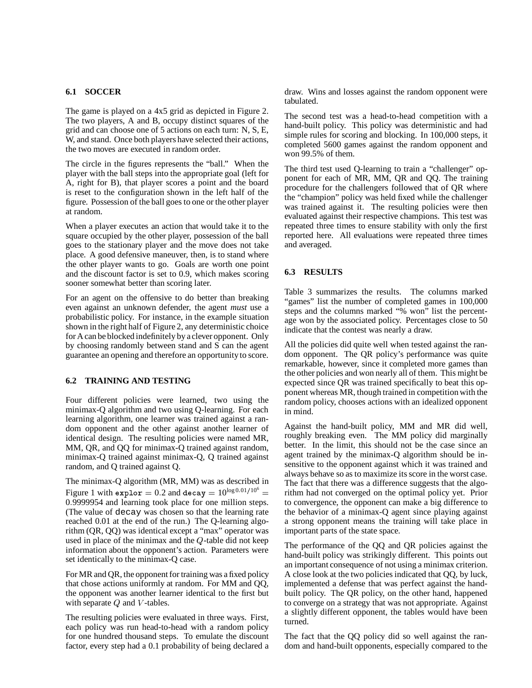#### **6.1 SOCCER**

The game is played on a 4x5 grid as depicted in Figure 2. The two players, A and B, occupy distinct squares of the grid and can choose one of 5 actions on each turn: N, S, E, W, and stand. Once both players have selected their actions, the two moves are executed in random order.

The circle in the figures represents the "ball." When the player with the ball steps into the appropriate goal (left for A, right for B), that player scores a point and the board is reset to the configuration shown in the left half of the figure. Possession of the ball goes to one or the other player at random.

When a player executes an action that would take it to the square occupied by the other player, possession of the ball goes to the stationary player and the move does not take place. A good defensive maneuver, then, is to stand where the other player wants to go. Goals are worth one point and the discount factor is set to 0.9, which makes scoring sooner somewhat better than scoring later.

For an agent on the offensive to do better than breaking even against an unknown defender, the agent *must* use a probabilistic policy. For instance, in the example situation shown in the right half of Figure 2, any deterministic choice for A can be blocked indefinitely by a clever opponent. Only by choosing randomly between stand and S can the agent guarantee an opening and therefore an opportunityto score.

### **6.2 TRAINING AND TESTING**

Four different policies were learned, two using the minimax-Q algorithm and two using Q-learning. For each learning algorithm, one learner was trained against a random opponent and the other against another learner of identical design. The resulting policies were named MR, MM, QR, and QQ for minimax-Q trained against random, minimax-Q trained against minimax-Q, Q trained against random, and Q trained against Q.

The minimax-Q algorithm (MR, MM) was as described in Figure 1 with  $\exp{\log 10} = 0.2$  and  $\text{decay} = 10^{\log 0.01/10^6} =$  rithm had 0.9999954 and learning took place for one million steps. (The value of decay was chosen so that the learning rate reached 0.01 at the end of the run.) The Q-learning algorithm (QR, QQ) was identical except a "max" operator was used in place of the minimax and the  $Q$ -table did not keep information about the opponent's action. Parameters were set identically to the minimax-Q case.

For MR and QR, the opponent for training was a fixed policy that chose actions uniformly at random. For MM and QQ, the opponent was another learner identical to the first but with separate  $Q$  and  $V$ -tables.

The resulting policies were evaluated in three ways. First, each policy was run head-to-head with a random policy for one hundred thousand steps. To emulate the discount factor, every step had a 0.1 probability of being declared a draw. Wins and losses against the random opponent were tabulated.

The second test was a head-to-head competition with a hand-built policy. This policy was deterministic and had simple rules for scoring and blocking. In 100,000 steps, it completed 5600 games against the random opponent and won 99.5% of them.

The third test used Q-learning to train a "challenger" opponent for each of MR, MM, QR and QQ. The training procedure for the challengers followed that of QR where the "champion" policy was held fixed while the challenger was trained against it. The resulting policies were then evaluated against their respective champions. This test was repeated three times to ensure stability with only the first reported here. All evaluations were repeated three times and averaged.

### **6.3 RESULTS**

Table 3 summarizes the results. The columns marked "games" list the number of completed games in 100,000 steps and the columns marked "% won" list the percentage won by the associated policy. Percentages close to 50 indicate that the contest was nearly a draw.

All the policies did quite well when tested against the random opponent. The QR policy's performance was quite remarkable, however, since it completed more games than the other policies and won nearly all of them. This might be expected since QR was trained specifically to beat this opponent whereas MR, though trained in competition with the random policy, chooses actions with an idealized opponent in mind.

Against the hand-built policy, MM and MR did well, roughly breaking even. The MM policy did marginally better. In the limit, this should not be the case since an agent trained by the minimax-Q algorithm should be insensitive to the opponent against which it was trained and always behave so as to maximize its score in the worst case. The fact that there was a difference suggests that the algorithm had not converged on the optimal policy yet. Prior to convergence, the opponent can make a big difference to the behavior of a minimax-Q agent since playing against a strong opponent means the training will take place in important parts of the state space.

The performance of the QQ and QR policies against the hand-built policy was strikingly different. This points out an important consequence of not using a minimax criterion. A close look at the two policies indicated that QQ, by luck, implemented a defense that was perfect against the handbuilt policy. The QR policy, on the other hand, happened to converge on a strategy that was not appropriate. Against a slightly different opponent, the tables would have been turned.

The fact that the QQ policy did so well against the random and hand-built opponents, especially compared to the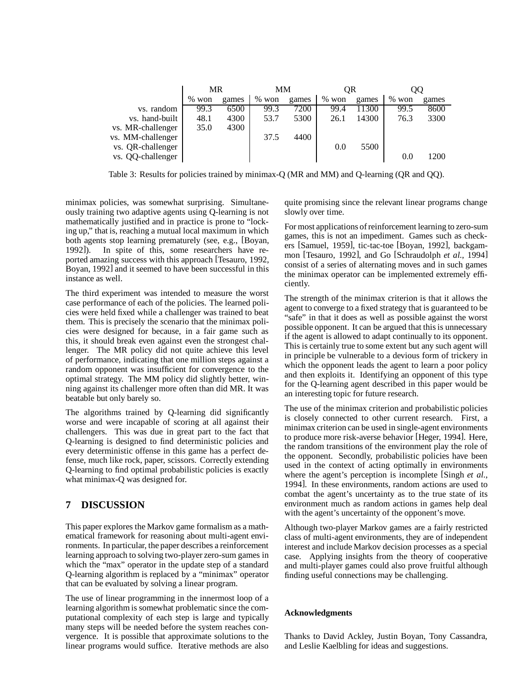|                   | MR          |       | MМ      |       | OR      |       | K         |       |
|-------------------|-------------|-------|---------|-------|---------|-------|-----------|-------|
|                   | $\%$<br>won | games | $%$ won | games | $%$ won | games | $%$ won   | games |
| vs. random        | 99.3        | 6500  | 99.3    | 7200  | 99.4    | 11300 | 99.5      | 8600  |
| vs. hand-built    | 48.1        | 4300  | 53.7    | 5300  | 26.1    | 14300 | 76.3      | 3300  |
| vs. MR-challenger | 35.0        | 4300  |         |       |         |       |           |       |
| vs. MM-challenger |             |       | 37.5    | 4400  |         |       |           |       |
| vs. QR-challenger |             |       |         |       | 0.0     | 5500  |           |       |
| vs. QQ-challenger |             |       |         |       |         |       | $\rm 0.0$ | 1200  |

Table 3: Results for policies trained by minimax-Q (MR and MM) and Q-learning (QR and QQ).

minimax policies, was somewhat surprising. Simultaneously training two adaptive agents using Q-learning is not mathematically justified and in practice is prone to "locking up," that is, reaching a mutual local maximum in which both agents stop learning prematurely (see, e.g., [Boyan, 1992]). In spite of this, some researchers have reported amazing success with this approach [Tesauro, 1992, Boyan, 1992] and it seemed to have been successful in this instance as well.

The third experiment was intended to measure the worst case performance of each of the policies. The learned policies were held fixed while a challenger was trained to beat them. This is precisely the scenario that the minimax policies were designed for because, in a fair game such as this, it should break even against even the strongest challenger. The MR policy did not quite achieve this level of performance, indicating that one million steps against a random opponent was insufficient for convergence to the optimal strategy. The MM policy did slightly better, winning against its challenger more often than did MR. It was beatable but only barely so.

The algorithms trained by Q-learning did significantly worse and were incapable of scoring at all against their challengers. This was due in great part to the fact that Q-learning is designed to find deterministic policies and every deterministic offense in this game has a perfect defense, much like rock, paper, scissors. Correctly extending Q-learning to find optimal probabilistic policies is exactly what minimax-Q was designed for.

# **7 DISCUSSION**

This paper explores the Markov game formalism as a mathematical framework for reasoning about multi-agent environments. In particular, the paper describes a reinforcement learning approach to solving two-player zero-sum games in which the "max" operator in the update step of a standard Q-learning algorithm is replaced by a "minimax" operator that can be evaluated by solving a linear program.

The use of linear programming in the innermost loop of a learning algorithm is somewhat problematic since the computational complexity of each step is large and typically many steps will be needed before the system reaches convergence. It is possible that approximate solutions to the linear programs would suffice. Iterative methods are also quite promising since the relevant linear programs change slowly over time.

For most applications of reinforcement learning to zero-sum games, this is not an impediment. Games such as checkers [Samuel, 1959], tic-tac-toe [Boyan, 1992], backgammon [Tesauro, 1992], and Go [Schraudolph *et al.*, 1994] consist of a series of alternating moves and in such games the minimax operator can be implemented extremely efficiently.

The strength of the minimax criterion is that it allows the agent to converge to a fixed strategy that is guaranteed to be "safe" in that it does as well as possible against the worst possible opponent. It can be argued that this is unnecessary if the agent is allowed to adapt continually to its opponent. This is certainly true to some extent but any such agent will in principle be vulnerable to a devious form of trickery in which the opponent leads the agent to learn a poor policy and then exploits it. Identifying an opponent of this type for the Q-learning agent described in this paper would be an interesting topic for future research.

The use of the minimax criterion and probabilistic policies is closely connected to other current research. First, a minimax criterion can be used in single-agent environments to produce more risk-averse behavior [Heger, 1994]. Here, the random transitions of the environment play the role of the opponent. Secondly, probabilistic policies have been used in the context of acting optimally in environments where the agent's perception is incomplete [Singh *et al.*, 1994]. In these environments, random actions are used to combat the agent's uncertainty as to the true state of its environment much as random actions in games help deal with the agent's uncertainty of the opponent's move.

Although two-player Markov games are a fairly restricted class of multi-agent environments, they are of independent interest and include Markov decision processes as a special case. Applying insights from the theory of cooperative and multi-player games could also prove fruitful although finding useful connections may be challenging.

#### **Acknowledgments**

Thanks to David Ackley, Justin Boyan, Tony Cassandra, and Leslie Kaelbling for ideas and suggestions.